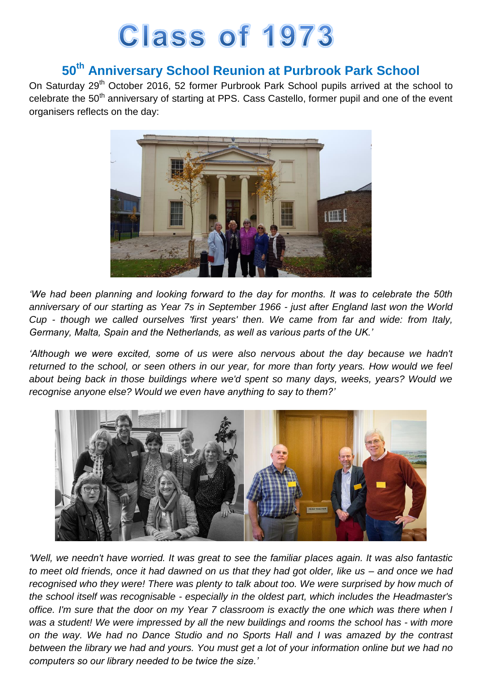## **Class of 1973**

## **50th Anniversary School Reunion at Purbrook Park School**

On Saturday 29<sup>th</sup> October 2016, 52 former Purbrook Park School pupils arrived at the school to celebrate the 50<sup>th</sup> anniversary of starting at PPS. Cass Castello, former pupil and one of the event organisers reflects on the day:



*'We had been planning and looking forward to the day for months. It was to celebrate the 50th anniversary of our starting as Year 7s in September 1966 - just after England last won the World Cup - though we called ourselves 'first years' then. We came from far and wide: from Italy, Germany, Malta, Spain and the Netherlands, as well as various parts of the UK.'*

*'Although we were excited, some of us were also nervous about the day because we hadn't returned to the school, or seen others in our year, for more than forty years. How would we feel about being back in those buildings where we'd spent so many days, weeks, years? Would we recognise anyone else? Would we even have anything to say to them?'*



*'Well, we needn't have worried. It was great to see the familiar places again. It was also fantastic to meet old friends, once it had dawned on us that they had got older, like us – and once we had recognised who they were! There was plenty to talk about too. We were surprised by how much of the school itself was recognisable - especially in the oldest part, which includes the Headmaster's office. I'm sure that the door on my Year 7 classroom is exactly the one which was there when I was a student! We were impressed by all the new buildings and rooms the school has - with more on the way. We had no Dance Studio and no Sports Hall and I was amazed by the contrast between the library we had and yours. You must get a lot of your information online but we had no computers so our library needed to be twice the size.'*